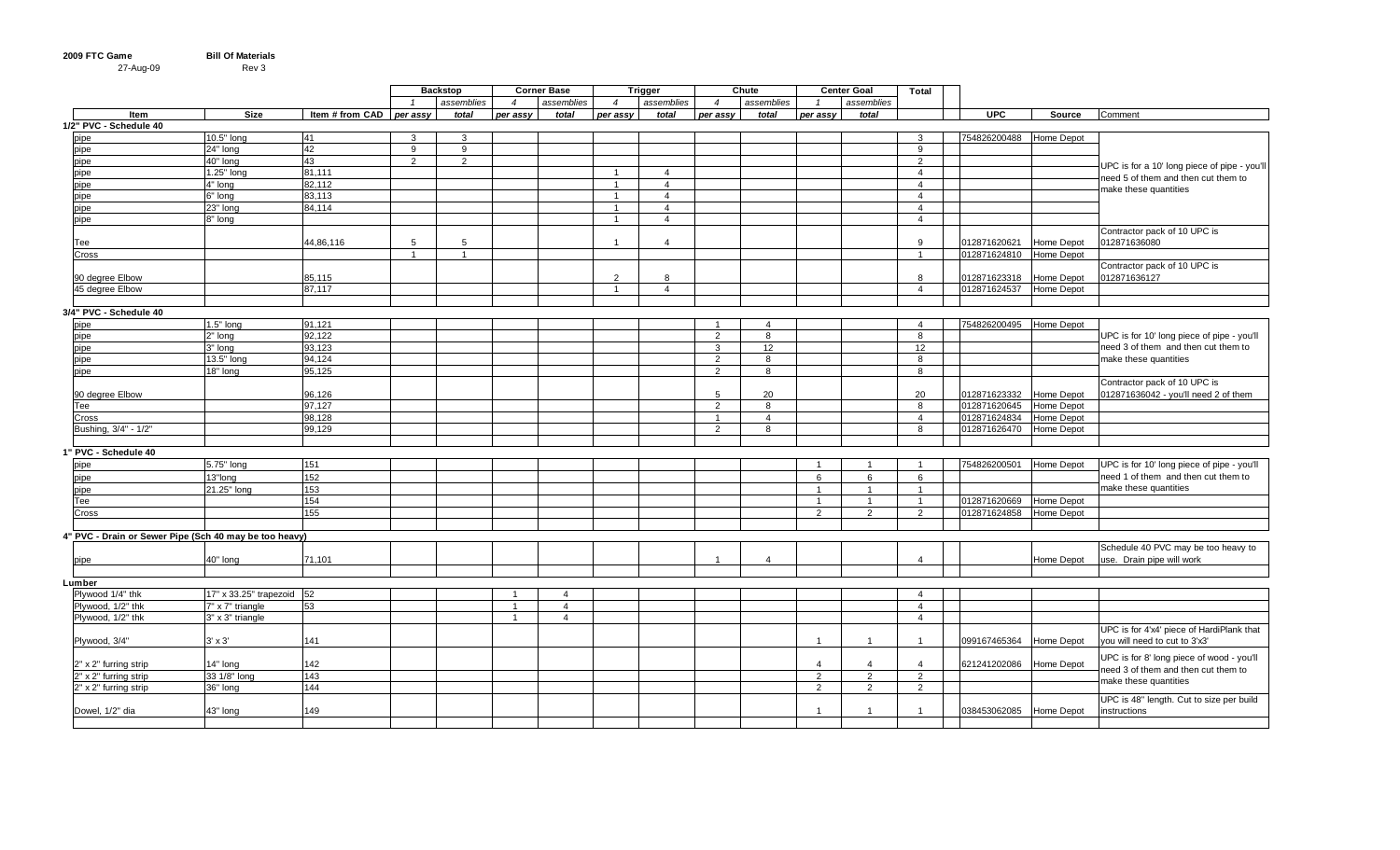| 2009 FTC Game | <b>Bill Of Materials</b> |  |
|---------------|--------------------------|--|
| 27-Aug-09     | Rev 3                    |  |

|                                                        |                           |                            |   | <b>Backstop</b> |                  | <b>Corner Base</b> |                | <b>Trigger</b>          | Chute          |                |                 | <b>Center Goal</b> | Total          |                         |            |                                              |
|--------------------------------------------------------|---------------------------|----------------------------|---|-----------------|------------------|--------------------|----------------|-------------------------|----------------|----------------|-----------------|--------------------|----------------|-------------------------|------------|----------------------------------------------|
|                                                        |                           |                            |   | assemblies      | $\boldsymbol{4}$ | assemblies         | $\overline{4}$ | assemblies              | $\overline{4}$ | assemblies     |                 | assemblies         |                |                         |            |                                              |
| Item                                                   | <b>Size</b>               | Item # from CAD   per assy |   | total           | per assy         | total              | per assy       | total                   | per assy       | total          | per assy        | total              |                | <b>UPC</b>              | Source     | Comment                                      |
| 1/2" PVC - Schedule 40                                 |                           |                            |   |                 |                  |                    |                |                         |                |                |                 |                    |                |                         |            |                                              |
| pipe                                                   | 10.5" long                | 41                         | 3 | 3               |                  |                    |                |                         |                |                |                 |                    | 3              | 754826200488 Home Depot |            |                                              |
| pipe                                                   | 24" long                  | 42                         | 9 | 9               |                  |                    |                |                         |                |                |                 |                    | 9              |                         |            |                                              |
| pipe                                                   | 40" long                  | 43                         | 2 | 2               |                  |                    |                |                         |                |                |                 |                    | 2              |                         |            | UPC is for a 10' long piece of pipe - you'll |
| pipe                                                   | 1.25" long                | 81,111                     |   |                 |                  |                    | $\mathbf{1}$   | $\overline{4}$          |                |                |                 |                    | $\overline{4}$ |                         |            | need 5 of them and then cut them to          |
| pipe                                                   | 4" long                   | 82,112                     |   |                 |                  |                    | $\mathbf{1}$   | $\overline{4}$          |                |                |                 |                    | $\overline{4}$ |                         |            |                                              |
| pipe                                                   | 6" long                   | 83,113                     |   |                 |                  |                    | $\overline{1}$ | $\overline{4}$          |                |                |                 |                    | $\overline{4}$ |                         |            | make these quantities                        |
| pipe                                                   | 23" long                  | 84,114                     |   |                 |                  |                    | $\overline{1}$ | $\overline{4}$          |                |                |                 |                    | $\overline{4}$ |                         |            |                                              |
| pipe                                                   | 8" long                   |                            |   |                 |                  |                    | $\overline{1}$ | $\overline{\mathbf{A}}$ |                |                |                 |                    | $\overline{4}$ |                         |            |                                              |
|                                                        |                           |                            |   |                 |                  |                    |                |                         |                |                |                 |                    |                |                         |            | Contractor pack of 10 UPC is                 |
| Tee                                                    |                           | 44,86,116                  | 5 | 5               |                  |                    | $\overline{1}$ | $\overline{4}$          |                |                |                 |                    | 9              | 012871620621            | Home Depot | 012871636080                                 |
| Cross                                                  |                           |                            |   | $\mathbf{1}$    |                  |                    |                |                         |                |                |                 |                    | $\overline{1}$ | 012871624810 Home Depot |            |                                              |
|                                                        |                           |                            |   |                 |                  |                    |                |                         |                |                |                 |                    |                |                         |            | Contractor pack of 10 UPC is                 |
| 90 degree Elbow                                        |                           | 85,115                     |   |                 |                  |                    | 2              | 8                       |                |                |                 |                    | 8              | 012871623318            | Home Depot | 012871636127                                 |
| 45 degree Elbow                                        |                           | 87.117                     |   |                 |                  |                    | $\overline{1}$ | $\overline{4}$          |                |                |                 |                    | $\overline{4}$ | 012871624537            | Home Depot |                                              |
|                                                        |                           |                            |   |                 |                  |                    |                |                         |                |                |                 |                    |                |                         |            |                                              |
| 3/4" PVC - Schedule 40                                 |                           |                            |   |                 |                  |                    |                |                         |                |                |                 |                    |                |                         |            |                                              |
| pipe                                                   | $1.5"$ long               | 91,121                     |   |                 |                  |                    |                |                         |                | $\overline{4}$ |                 |                    | $\overline{4}$ | 754826200495 Home Depot |            |                                              |
| pipe                                                   | 2" long                   | 92,122                     |   |                 |                  |                    |                |                         | 2              | 8              |                 |                    | 8              |                         |            | UPC is for 10' long piece of pipe - you'll   |
| pipe                                                   | 3" long                   | 93,123                     |   |                 |                  |                    |                |                         | $\mathbf{3}$   | 12             |                 |                    | 12             |                         |            | need 3 of them and then cut them to          |
| pipe                                                   | 13.5" long                | 94,124                     |   |                 |                  |                    |                |                         | 2              | 8              |                 |                    | 8              |                         |            | make these quantities                        |
| pipe                                                   | 18" long                  | 95,125                     |   |                 |                  |                    |                |                         | 2              | $\mathsf{R}$   |                 |                    | 8              |                         |            |                                              |
|                                                        |                           |                            |   |                 |                  |                    |                |                         |                |                |                 |                    |                |                         |            | Contractor pack of 10 UPC is                 |
| 90 degree Elbow                                        |                           | 96,126                     |   |                 |                  |                    |                |                         | -5             | 20             |                 |                    | 20             | 012871623332            | Home Depot | 012871636042 - you'll need 2 of them         |
| Tee                                                    |                           | 97,127                     |   |                 |                  |                    |                |                         | 2              | 8              |                 |                    | 8              | 012871620645            | Home Depot |                                              |
| Cross                                                  |                           | 98,128                     |   |                 |                  |                    |                |                         | $\overline{1}$ | $\overline{4}$ |                 |                    | $\overline{4}$ | 012871624834            | Home Depot |                                              |
| Bushing, 3/4" - 1/2"                                   |                           | 99.129                     |   |                 |                  |                    |                |                         | $\overline{2}$ | 8              |                 |                    | 8              | 012871626470            | Home Depot |                                              |
|                                                        |                           |                            |   |                 |                  |                    |                |                         |                |                |                 |                    |                |                         |            |                                              |
| 1" PVC - Schedule 40                                   |                           |                            |   |                 |                  |                    |                |                         |                |                |                 |                    |                |                         |            |                                              |
| pipe                                                   | 5.75" long                | 151                        |   |                 |                  |                    |                |                         |                |                | $\overline{1}$  | $\overline{1}$     | $\overline{1}$ | 754826200501            | Home Depot | UPC is for 10' long piece of pipe - you'll   |
|                                                        | 13"long                   | 152                        |   |                 |                  |                    |                |                         |                |                | $6\phantom{.}6$ | 6                  | 6              |                         |            | need 1 of them and then cut them to          |
| pipe                                                   |                           |                            |   |                 |                  |                    |                |                         |                |                |                 |                    |                |                         |            | make these quantities                        |
| pipe                                                   | 21.25" long               | 153                        |   |                 |                  |                    |                |                         |                |                | $\overline{1}$  | $\overline{1}$     | $\overline{1}$ |                         |            |                                              |
| Tee                                                    |                           | 154                        |   |                 |                  |                    |                |                         |                |                | $\overline{1}$  | $\overline{1}$     | $\overline{1}$ | 012871620669            | Home Depot |                                              |
| Cross                                                  |                           | 155                        |   |                 |                  |                    |                |                         |                |                | 2               | $\overline{2}$     | 2              | 012871624858            | Home Depot |                                              |
|                                                        |                           |                            |   |                 |                  |                    |                |                         |                |                |                 |                    |                |                         |            |                                              |
| 4" PVC - Drain or Sewer Pipe (Sch 40 may be too heavy) |                           |                            |   |                 |                  |                    |                |                         |                |                |                 |                    |                |                         |            |                                              |
|                                                        |                           |                            |   |                 |                  |                    |                |                         | - 1            |                |                 |                    | $\Delta$       |                         |            | Schedule 40 PVC may be too heavy to          |
| pipe                                                   | 40" long                  | 71,101                     |   |                 |                  |                    |                |                         |                | $\overline{4}$ |                 |                    |                |                         | Home Depot | use. Drain pipe will work                    |
|                                                        |                           |                            |   |                 |                  |                    |                |                         |                |                |                 |                    |                |                         |            |                                              |
| ∟umber                                                 |                           |                            |   |                 |                  |                    |                |                         |                |                |                 |                    |                |                         |            |                                              |
| Plywood 1/4" thk                                       | 17" x 33.25" trapezoid 52 |                            |   |                 |                  | $\overline{4}$     |                |                         |                |                |                 |                    | $\overline{4}$ |                         |            |                                              |
| Plywood, 1/2" thk                                      | 7" x 7" triangle          | 53                         |   |                 | $\overline{1}$   | $\overline{4}$     |                |                         |                |                |                 |                    | $\overline{4}$ |                         |            |                                              |
| Plywood, 1/2" thk                                      | 3" x 3" triangle          |                            |   |                 | -1               | $\overline{4}$     |                |                         |                |                |                 |                    | $\overline{4}$ |                         |            |                                              |
|                                                        |                           |                            |   |                 |                  |                    |                |                         |                |                |                 |                    |                |                         |            | UPC is for 4'x4' piece of HardiPlank that    |
| Plywood, 3/4"                                          | $3' \times 3'$            | 141                        |   |                 |                  |                    |                |                         |                |                | $\overline{1}$  | $\mathbf{1}$       | $\overline{1}$ | 099167465364            | Home Depot | you will need to cut to 3'x3'                |
|                                                        |                           |                            |   |                 |                  |                    |                |                         |                |                |                 |                    |                |                         |            | UPC is for 8' long piece of wood - you'll    |
| 2" x 2" furring strip                                  | 14" long                  | 142                        |   |                 |                  |                    |                |                         |                |                | $\overline{4}$  | 4                  | $\overline{4}$ | 621241202086            | Home Depot | need 3 of them and then cut them to          |
| 2" x 2" furring strip                                  | 33 1/8" long              | 143                        |   |                 |                  |                    |                |                         |                |                | 2               | 2                  | $\overline{2}$ |                         |            | nake these quantities                        |
| 2" x 2" furring strip                                  | 36" long                  | 144                        |   |                 |                  |                    |                |                         |                |                | 2               | 2                  | 2              |                         |            |                                              |
|                                                        |                           |                            |   |                 |                  |                    |                |                         |                |                |                 |                    |                |                         |            | UPC is 48" length. Cut to size per build     |
| Dowel, 1/2" dia                                        | 43" long                  | 149                        |   |                 |                  |                    |                |                         |                |                | $\overline{1}$  | $\overline{1}$     | $\overline{1}$ | 038453062085            | Home Depot | instructions                                 |
|                                                        |                           |                            |   |                 |                  |                    |                |                         |                |                |                 |                    |                |                         |            |                                              |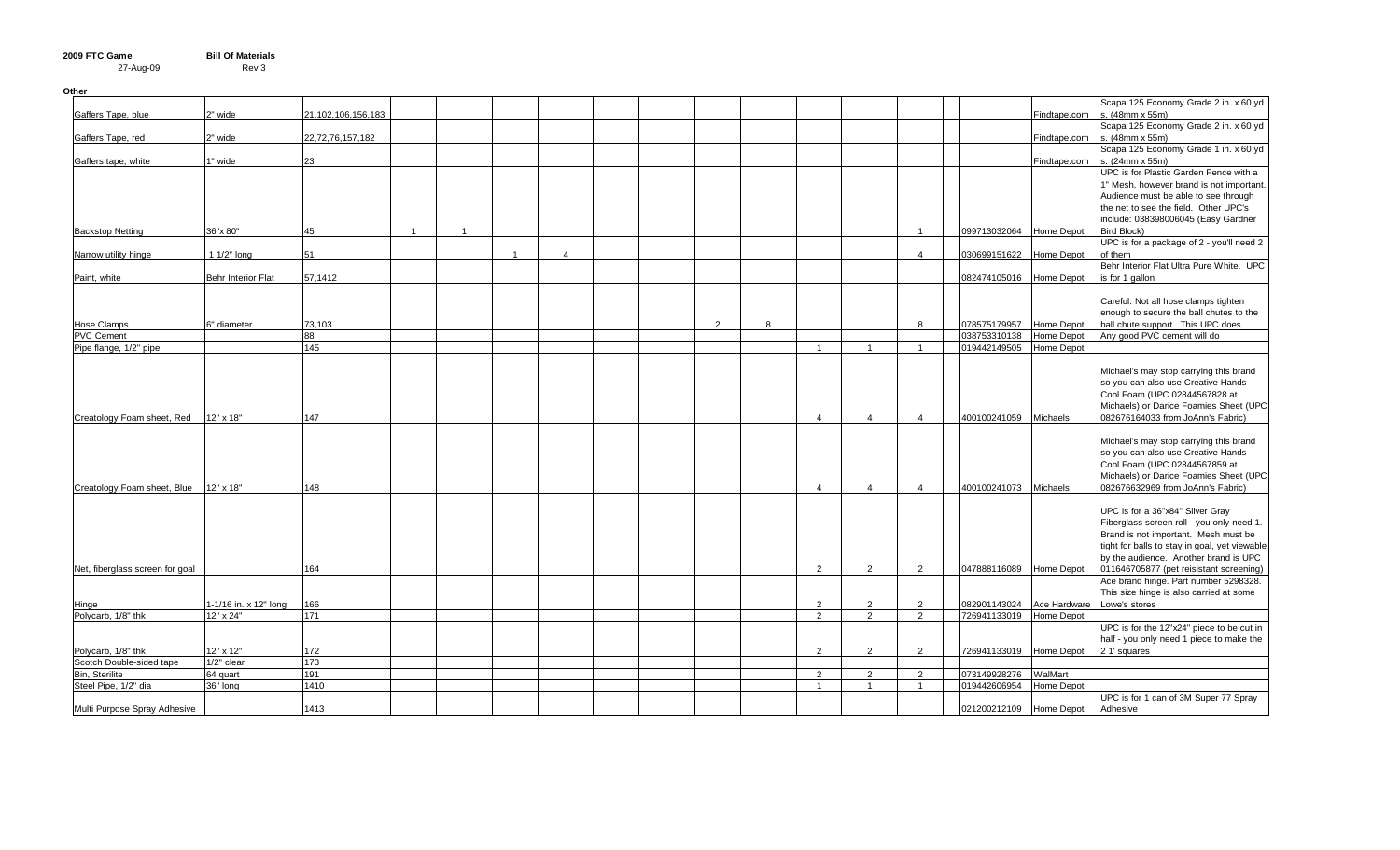| Other                           |                           |                    |                |                |                |                |                |   |                |                |                |                         |                         |                                                           |
|---------------------------------|---------------------------|--------------------|----------------|----------------|----------------|----------------|----------------|---|----------------|----------------|----------------|-------------------------|-------------------------|-----------------------------------------------------------|
|                                 |                           |                    |                |                |                |                |                |   |                |                |                |                         |                         | Scapa 125 Economy Grade 2 in. x 60 yd                     |
| Gaffers Tape, blue              | 2" wide                   | 21,102,106,156,183 |                |                |                |                |                |   |                |                |                |                         | Findtape.com            | s. (48mm x 55m)                                           |
|                                 |                           |                    |                |                |                |                |                |   |                |                |                |                         |                         | Scapa 125 Economy Grade 2 in. x 60 yd                     |
| Gaffers Tape, red               | 2" wide                   | 22,72,76,157,182   |                |                |                |                |                |   |                |                |                |                         | Findtape.com            | s. (48mm x 55m)                                           |
|                                 |                           |                    |                |                |                |                |                |   |                |                |                |                         |                         | Scapa 125 Economy Grade 1 in. x 60 yd                     |
| Gaffers tape, white             | 1" wide                   | 23                 |                |                |                |                |                |   |                |                |                |                         | Findtape.com            | s. (24mm x 55m)                                           |
|                                 |                           |                    |                |                |                |                |                |   |                |                |                |                         |                         | UPC is for Plastic Garden Fence with a                    |
|                                 |                           |                    |                |                |                |                |                |   |                |                |                |                         |                         | 1" Mesh, however brand is not important.                  |
|                                 |                           |                    |                |                |                |                |                |   |                |                |                |                         |                         | Audience must be able to see through                      |
|                                 |                           |                    |                |                |                |                |                |   |                |                |                |                         |                         | the net to see the field. Other UPC's                     |
| <b>Backstop Netting</b>         | 36"x 80"                  | 45                 | $\overline{1}$ | $\overline{1}$ |                |                |                |   |                |                | $\overline{1}$ |                         | 099713032064 Home Depot | include: 038398006045 (Easy Gardner<br><b>Bird Block)</b> |
|                                 |                           |                    |                |                |                |                |                |   |                |                |                |                         |                         | UPC is for a package of 2 - you'll need 2                 |
| Narrow utility hinge            | $11/2"$ long              | 51                 |                |                | $\overline{1}$ | $\overline{4}$ |                |   |                |                | $\overline{4}$ | 030699151622            | <b>Home Depot</b>       | of them                                                   |
|                                 |                           |                    |                |                |                |                |                |   |                |                |                |                         |                         | Behr Interior Flat Ultra Pure White. UPC                  |
| Paint, white                    | <b>Behr Interior Flat</b> | 57,1412            |                |                |                |                |                |   |                |                |                | 082474105016            | Home Depot              | is for 1 gallon                                           |
|                                 |                           |                    |                |                |                |                |                |   |                |                |                |                         |                         |                                                           |
|                                 |                           |                    |                |                |                |                |                |   |                |                |                |                         |                         | Careful: Not all hose clamps tighten                      |
|                                 |                           |                    |                |                |                |                |                |   |                |                |                |                         |                         | enough to secure the ball chutes to the                   |
| <b>Hose Clamps</b>              | 6" diameter               | 73,103             |                |                |                |                | $\overline{2}$ | 8 |                |                | 8              | 078575179957            | Home Depot              | ball chute support. This UPC does.                        |
| <b>PVC Cement</b>               |                           | 88                 |                |                |                |                |                |   |                |                |                | 038753310138            | Home Depot              | Any good PVC cement will do                               |
| Pipe flange, 1/2" pipe          |                           | 145                |                |                |                |                |                |   | $\overline{1}$ | $\overline{1}$ | $\overline{1}$ | 019442149505 Home Depot |                         |                                                           |
|                                 |                           |                    |                |                |                |                |                |   |                |                |                |                         |                         |                                                           |
|                                 |                           |                    |                |                |                |                |                |   |                |                |                |                         |                         | Michael's may stop carrying this brand                    |
|                                 |                           |                    |                |                |                |                |                |   |                |                |                |                         |                         | so you can also use Creative Hands                        |
|                                 |                           |                    |                |                |                |                |                |   |                |                |                |                         |                         | Cool Foam (UPC 02844567828 at                             |
|                                 |                           |                    |                |                |                |                |                |   |                |                |                |                         |                         | Michaels) or Darice Foamies Sheet (UPC                    |
| Creatology Foam sheet, Red      | 12" x 18"                 | 147                |                |                |                |                |                |   | $\overline{4}$ | 4              | $\overline{4}$ | 400100241059            | <b>Michaels</b>         | 082676164033 from JoAnn's Fabric)                         |
|                                 |                           |                    |                |                |                |                |                |   |                |                |                |                         |                         |                                                           |
|                                 |                           |                    |                |                |                |                |                |   |                |                |                |                         |                         | Michael's may stop carrying this brand                    |
|                                 |                           |                    |                |                |                |                |                |   |                |                |                |                         |                         | so you can also use Creative Hands                        |
|                                 |                           |                    |                |                |                |                |                |   |                |                |                |                         |                         | Cool Foam (UPC 02844567859 at                             |
|                                 |                           |                    |                |                |                |                |                |   |                |                |                |                         |                         | Michaels) or Darice Foamies Sheet (UPC                    |
| Creatology Foam sheet, Blue     | 12" x 18"                 | 148                |                |                |                |                |                |   | $\Delta$       | $\overline{4}$ | $\overline{4}$ | 400100241073 Michaels   |                         | 082676632969 from JoAnn's Fabric)                         |
|                                 |                           |                    |                |                |                |                |                |   |                |                |                |                         |                         |                                                           |
|                                 |                           |                    |                |                |                |                |                |   |                |                |                |                         |                         | UPC is for a 36"x84" Silver Gray                          |
|                                 |                           |                    |                |                |                |                |                |   |                |                |                |                         |                         | Fiberglass screen roll - you only need 1.                 |
|                                 |                           |                    |                |                |                |                |                |   |                |                |                |                         |                         | Brand is not important. Mesh must be                      |
|                                 |                           |                    |                |                |                |                |                |   |                |                |                |                         |                         | tight for balls to stay in goal, yet viewable             |
|                                 |                           |                    |                |                |                |                |                |   |                |                |                |                         |                         | by the audience. Another brand is UPC                     |
| Net, fiberglass screen for goal |                           | 164                |                |                |                |                |                |   | 2              | 2              | 2              | 047888116089 Home Depot |                         | 011646705877 (pet reisistant screening)                   |
|                                 |                           |                    |                |                |                |                |                |   |                |                |                |                         |                         | Ace brand hinge. Part number 5298328.                     |
|                                 |                           |                    |                |                |                |                |                |   |                |                |                |                         |                         | This size hinge is also carried at some                   |
| Hinge                           | 1-1/16 in. x 12" long     | 166                |                |                |                |                |                |   | 2              | 2              | 2              | 082901143024            | Ace Hardware            | Lowe's stores                                             |
| Polycarb, 1/8" thk              | 12" x 24"                 | 171                |                |                |                |                |                |   | 2              | 2              | 2              | 726941133019            | Home Depot              |                                                           |
|                                 |                           |                    |                |                |                |                |                |   |                |                |                |                         |                         | UPC is for the 12"x24" piece to be cut in                 |
| Polycarb, 1/8" thk              | 12" x 12"                 | 172                |                |                |                |                |                |   | 2              | 2              | 2              | 726941133019 Home Depot |                         | half - you only need 1 piece to make the<br>2 1' squares  |
| Scotch Double-sided tape        | 1/2" clear                | 173                |                |                |                |                |                |   |                |                |                |                         |                         |                                                           |
| Bin, Sterilite                  | 64 quart                  | 191                |                |                |                |                |                |   | 2              | $\overline{2}$ | 2              | 073149928276            | WalMart                 |                                                           |
| Steel Pipe, 1/2" dia            | 36" long                  | 1410               |                |                |                |                |                |   | $\overline{1}$ | $\overline{1}$ | $\overline{1}$ | 019442606954            | Home Depot              |                                                           |
|                                 |                           |                    |                |                |                |                |                |   |                |                |                |                         |                         | UPC is for 1 can of 3M Super 77 Spray                     |
| Multi Purpose Spray Adhesive    |                           | 1413               |                |                |                |                |                |   |                |                |                | 021200212109 Home Depot |                         | Adhesive                                                  |
|                                 |                           |                    |                |                |                |                |                |   |                |                |                |                         |                         |                                                           |